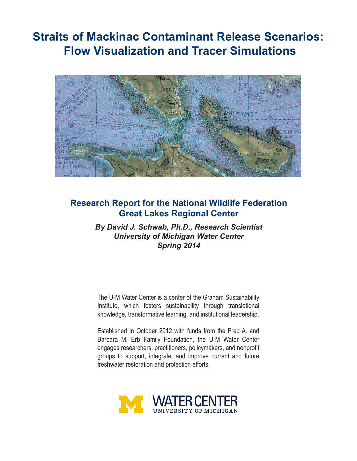# **Straits of Mackinac Contaminant Release Scenarios: Flow Visualization and Tracer Simulations**



# **Research Report for the National Wildlife Federation Great Lakes Regional Center**

*By David J. Schwab, Ph.D., Research Scientist University of Michigan Water Center Spring 2014*

The U-M Water Center is a center of the Graham Sustainability Institute, which fosters sustainability through translational knowledge, transformative learning, and institutional leadership.

Established in October 2012 with funds from the Fred A. and Barbara M. Erb Family Foundation, the U-M Water Center engages researchers, practitioners, policymakers, and nonprofit groups to support, integrate, and improve current and future freshwater restoration and protection efforts.

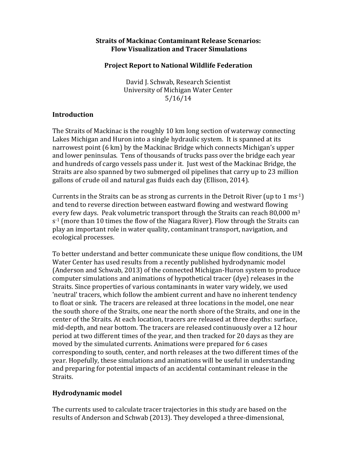#### **Straits of Mackinac Contaminant Release Scenarios: Flow Visualization and Tracer Simulations**

#### **Project Report to National Wildlife Federation**

David J. Schwab, Research Scientist University of Michigan Water Center 5/16/14

#### **Introduction**

The Straits of Mackinac is the roughly 10 km long section of waterway connecting Lakes Michigan and Huron into a single hydraulic system. It is spanned at its narrowest point (6 km) by the Mackinac Bridge which connects Michigan's upper and lower peninsulas. Tens of thousands of trucks pass over the bridge each year and hundreds of cargo vessels pass under it. Just west of the Mackinac Bridge, the Straits are also spanned by two submerged oil pipelines that carry up to 23 million gallons of crude oil and natural gas fluids each day (Ellison, 2014).

Currents in the Straits can be as strong as currents in the Detroit River (up to 1 ms<sup>-1</sup>) and tend to reverse direction between eastward flowing and westward flowing every few days. Peak volumetric transport through the Straits can reach 80,000  $m<sup>3</sup>$  $s<sup>-1</sup>$  (more than 10 times the flow of the Niagara River). Flow through the Straits can play an important role in water quality, contaminant transport, navigation, and ecological processes.

To better understand and better communicate these unique flow conditions, the UM Water Center has used results from a recently published hydrodynamic model (Anderson and Schwab, 2013) of the connected Michigan-Huron system to produce computer simulations and animations of hypothetical tracer (dye) releases in the Straits. Since properties of various contaminants in water vary widely, we used 'neutral' tracers, which follow the ambient current and have no inherent tendency to float or sink. The tracers are released at three locations in the model, one near the south shore of the Straits, one near the north shore of the Straits, and one in the center of the Straits. At each location, tracers are released at three depths: surface, mid-depth, and near bottom. The tracers are released continuously over a 12 hour period at two different times of the year, and then tracked for 20 days as they are moved by the simulated currents. Animations were prepared for 6 cases corresponding to south, center, and north releases at the two different times of the year. Hopefully, these simulations and animations will be useful in understanding and preparing for potential impacts of an accidental contaminant release in the Straits. 

#### **Hydrodynamic model**

The currents used to calculate tracer trajectories in this study are based on the results of Anderson and Schwab (2013). They developed a three-dimensional,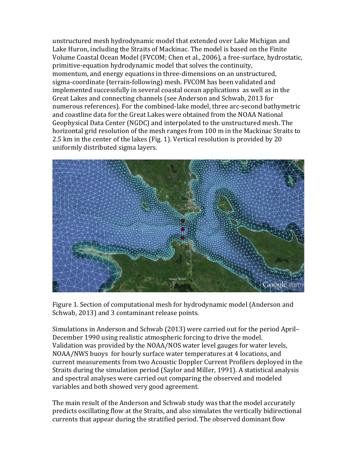unstructured mesh hydrodynamic model that extended over Lake Michigan and Lake Huron, including the Straits of Mackinac. The model is based on the Finite Volume Coastal Ocean Model (FVCOM; Chen et al., 2006), a free-surface, hydrostatic, primitive-equation hydrodynamic model that solves the continuity, momentum, and energy equations in three-dimensions on an unstructured. sigma-coordinate (terrain-following) mesh. FVCOM has been validated and implemented successfully in several coastal ocean applications as well as in the Great Lakes and connecting channels (see Anderson and Schwab, 2013 for numerous references). For the combined-lake model, three arc-second bathymetric and coastline data for the Great Lakes were obtained from the NOAA National Geophysical Data Center (NGDC) and interpolated to the unstructured mesh. The horizontal grid resolution of the mesh ranges from 100 m in the Mackinac Straits to 2.5 km in the center of the lakes (Fig. 1). Vertical resolution is provided by 20 uniformly distributed sigma layers.



Figure 1. Section of computational mesh for hydrodynamic model (Anderson and Schwab, 2013) and 3 contaminant release points.

Simulations in Anderson and Schwab (2013) were carried out for the period April– December 1990 using realistic atmospheric forcing to drive the model. Validation was provided by the NOAA/NOS water level gauges for water levels, NOAA/NWS buoys for hourly surface water temperatures at 4 locations, and current measurements from two Acoustic Doppler Current Profilers deployed in the Straits during the simulation period (Saylor and Miller, 1991). A statistical analysis and spectral analyses were carried out comparing the observed and modeled variables and both showed very good agreement.

The main result of the Anderson and Schwab study was that the model accurately predicts oscillating flow at the Straits, and also simulates the vertically bidirectional currents that appear during the stratified period. The observed dominant flow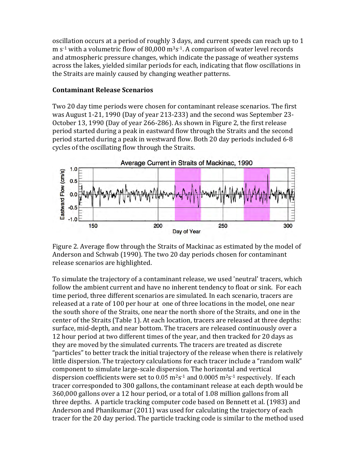oscillation occurs at a period of roughly 3 days, and current speeds can reach up to 1 m  $s^{-1}$  with a volumetric flow of 80,000 m<sup>3</sup>s<sup>-1</sup>. A comparison of water level records and atmospheric pressure changes, which indicate the passage of weather systems across the lakes, yielded similar periods for each, indicating that flow oscillations in the Straits are mainly caused by changing weather patterns.

#### **Contaminant Release Scenarios**

Two 20 day time periods were chosen for contaminant release scenarios. The first was August 1-21, 1990 (Day of year 213-233) and the second was September 23-October 13, 1990 (Day of year 266-286). As shown in Figure 2, the first release period started during a peak in eastward flow through the Straits and the second period started during a peak in westward flow. Both 20 day periods included 6-8 cycles of the oscillating flow through the Straits.



Figure 2. Average flow through the Straits of Mackinac as estimated by the model of Anderson and Schwab (1990). The two 20 day periods chosen for contaminant release scenarios are highlighted.

To simulate the trajectory of a contaminant release, we used 'neutral' tracers, which follow the ambient current and have no inherent tendency to float or sink. For each time period, three different scenarios are simulated. In each scenario, tracers are released at a rate of 100 per hour at one of three locations in the model, one near the south shore of the Straits, one near the north shore of the Straits, and one in the center of the Straits (Table 1). At each location, tracers are released at three depths: surface, mid-depth, and near bottom. The tracers are released continuously over a 12 hour period at two different times of the year, and then tracked for 20 days as they are moved by the simulated currents. The tracers are treated as discrete "particles" to better track the initial trajectory of the release when there is relatively little dispersion. The trajectory calculations for each tracer include a "random walk" component to simulate large-scale dispersion. The horizontal and vertical dispersion coefficients were set to  $0.05 \text{ m}^2\text{s}^{-1}$  and  $0.0005 \text{ m}^2\text{s}^{-1}$  respectively. If each tracer corresponded to 300 gallons, the contaminant release at each depth would be 360,000 gallons over a 12 hour period, or a total of 1.08 million gallons from all three depths. A particle tracking computer code based on Bennett et al. (1983) and Anderson and Phanikumar (2011) was used for calculating the trajectory of each tracer for the 20 day period. The particle tracking code is similar to the method used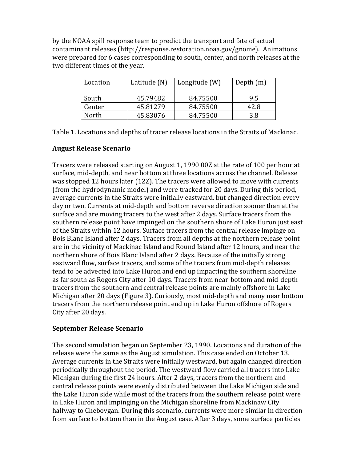by the NOAA spill response team to predict the transport and fate of actual contaminant releases (http://response.restoration.noaa.gov/gnome). Animations were prepared for 6 cases corresponding to south, center, and north releases at the two different times of the year.

| Location | Latitude (N) | Longitude (W) | Depth $(m)$ |
|----------|--------------|---------------|-------------|
| South    | 45.79482     | 84.75500      | 9.5         |
| Center   | 45.81279     | 84.75500      | 42.8        |
| North    | 45.83076     | 84.75500      | 3.8         |

Table 1. Locations and depths of tracer release locations in the Straits of Mackinac.

# **August Release Scenario**

Tracers were released starting on August 1, 1990 00Z at the rate of 100 per hour at surface, mid-depth, and near bottom at three locations across the channel. Release was stopped 12 hours later (12Z). The tracers were allowed to move with currents (from the hydrodynamic model) and were tracked for 20 days. During this period, average currents in the Straits were initially eastward, but changed direction every day or two. Currents at mid-depth and bottom reverse direction sooner than at the surface and are moving tracers to the west after 2 days. Surface tracers from the southern release point have impinged on the southern shore of Lake Huron just east of the Straits within 12 hours. Surface tracers from the central release impinge on Bois Blanc Island after 2 days. Tracers from all depths at the northern release point are in the vicinity of Mackinac Island and Round Island after 12 hours, and near the northern shore of Bois Blanc Island after 2 days. Because of the initially strong eastward flow, surface tracers, and some of the tracers from mid-depth releases tend to be advected into Lake Huron and end up impacting the southern shoreline as far south as Rogers City after 10 days. Tracers from near-bottom and mid-depth tracers from the southern and central release points are mainly offshore in Lake Michigan after 20 days (Figure 3). Curiously, most mid-depth and many near bottom tracers from the northern release point end up in Lake Huron offshore of Rogers City after 20 days.

# **September Release Scenario**

The second simulation began on September 23, 1990. Locations and duration of the release were the same as the August simulation. This case ended on October 13. Average currents in the Straits were initially westward, but again changed direction periodically throughout the period. The westward flow carried all tracers into Lake Michigan during the first 24 hours. After 2 days, tracers from the northern and central release points were evenly distributed between the Lake Michigan side and the Lake Huron side while most of the tracers from the southern release point were in Lake Huron and impinging on the Michigan shoreline from Mackinaw City halfway to Cheboygan. During this scenario, currents were more similar in direction from surface to bottom than in the August case. After 3 days, some surface particles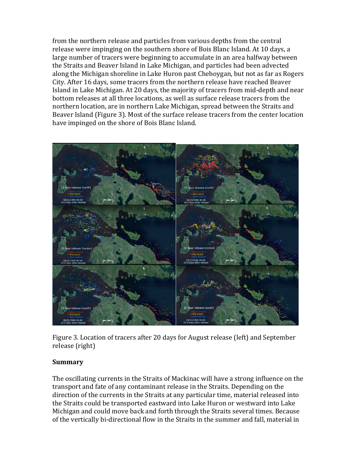from the northern release and particles from various depths from the central release were impinging on the southern shore of Bois Blanc Island. At 10 days, a large number of tracers were beginning to accumulate in an area halfway between the Straits and Beaver Island in Lake Michigan, and particles had been advected along the Michigan shoreline in Lake Huron past Cheboygan, but not as far as Rogers City. After 16 days, some tracers from the northern release have reached Beaver Island in Lake Michigan. At 20 days, the majority of tracers from mid-depth and near bottom releases at all three locations, as well as surface release tracers from the northern location, are in northern Lake Michigan, spread between the Straits and Beaver Island (Figure 3). Most of the surface release tracers from the center location have impinged on the shore of Bois Blanc Island.



Figure 3. Location of tracers after 20 days for August release (left) and September release (right)

# **Summary**

The oscillating currents in the Straits of Mackinac will have a strong influence on the transport and fate of any contaminant release in the Straits. Depending on the direction of the currents in the Straits at any particular time, material released into the Straits could be transported eastward into Lake Huron or westward into Lake Michigan and could move back and forth through the Straits several times. Because of the vertically bi-directional flow in the Straits in the summer and fall, material in